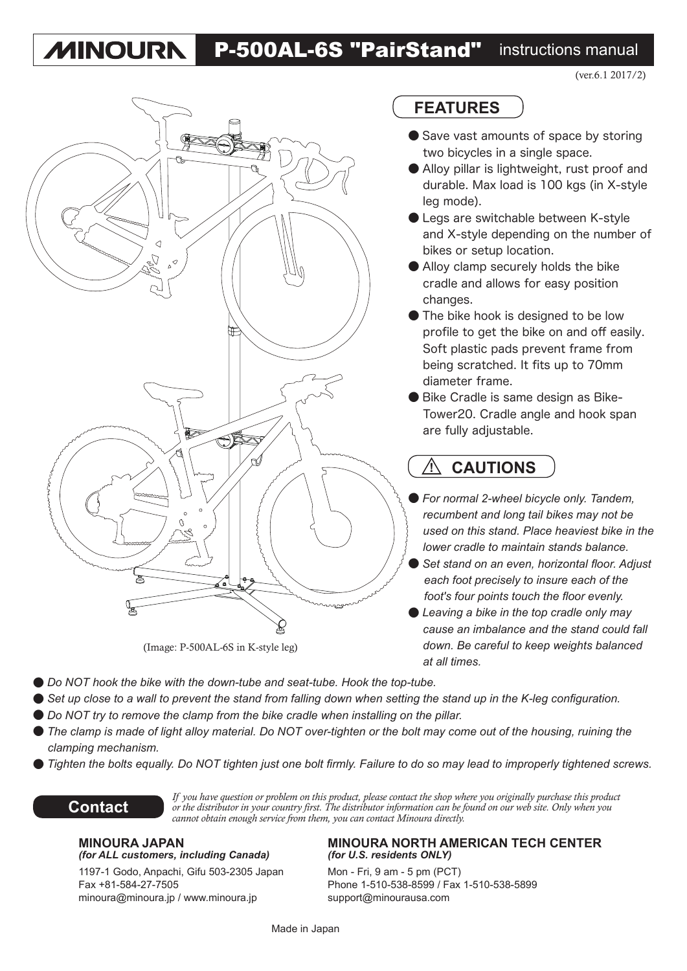#### P-500AL-6S "PairStand" instructions manual **MINOURN**



### **FEATURES**

- Save vast amounts of space by storing two bicycles in a single space.
- Alloy pillar is lightweight, rust proof and durable. Max load is 100 kgs (in X-style leg mode).
- Legs are switchable between K-style and X-style depending on the number of bikes or setup location.
- Alloy clamp securely holds the bike cradle and allows for easy position changes.
- The bike hook is designed to be low profile to get the bike on and off easily. Soft plastic pads prevent frame from being scratched. It fits up to 70mm diameter frame.
- **Bike Cradle is same design as Bike-**Tower20. Cradle angle and hook span are fully adjustable.

#### **! CAUTIONS**

- *For normal 2-wheel bicycle only. Tandem, recumbent and long tail bikes may not be used on this stand. Place heaviest bike in the lower cradle to maintain stands balance.*
- *Set stand on an even, horizontal floor. Adjust each foot precisely to insure each of the foot's four points touch the floor evenly.*
- *Leaving a bike in the top cradle only may cause an imbalance and the stand could fall down. Be careful to keep weights balanced at all times.*
- *Do NOT hook the bike with the down-tube and seat-tube. Hook the top-tube.*
- Set up close to a wall to prevent the stand from falling down when setting the stand up in the K-leg configuration.
- *Do NOT try to remove the clamp from the bike cradle when installing on the pillar.*
- The clamp is made of light alloy material. Do NOT over-tighten or the bolt may come out of the housing, ruining the *clamping mechanism.*
- *Tighten the bolts equally. Do NOT tighten just one bolt firmly. Failure to do so may lead to improperly tightened screws.*



*If you have question or problem on this product, please contact the shop where you originally purchase this product or the distributor in your country first. The distributor information can be found on our web site. Only when you cannot obtain enough service from them, you can contact Minoura directly.*

## *(for ALL customers, including Canada)*

1197-1 Godo, Anpachi, Gifu 503-2305 Japan Mon - Fri, 9 am - 5 pm (PCT) minoura@minoura.jp / www.minoura.jp support@minourausa.com

# **MINOURA JAPAN MINOURA NORTH AMERICAN TECH CENTER**<br>(for ALL customers, including Canada) (for U.S. residents ONLY)

Fax +81-584-27-7505 Phone 1-510-538-8599 / Fax 1-510-538-5899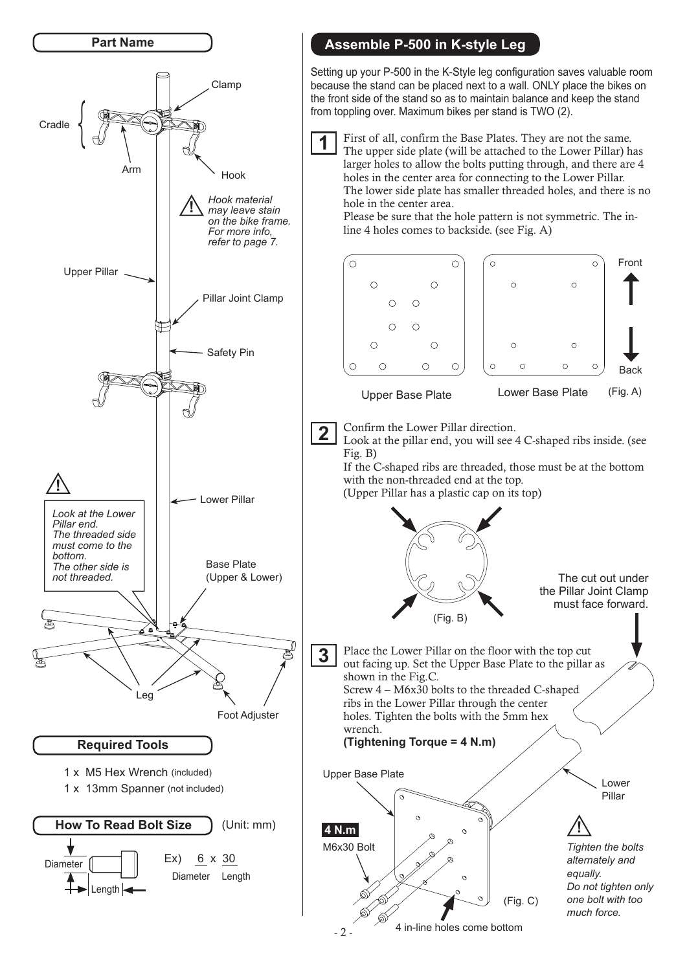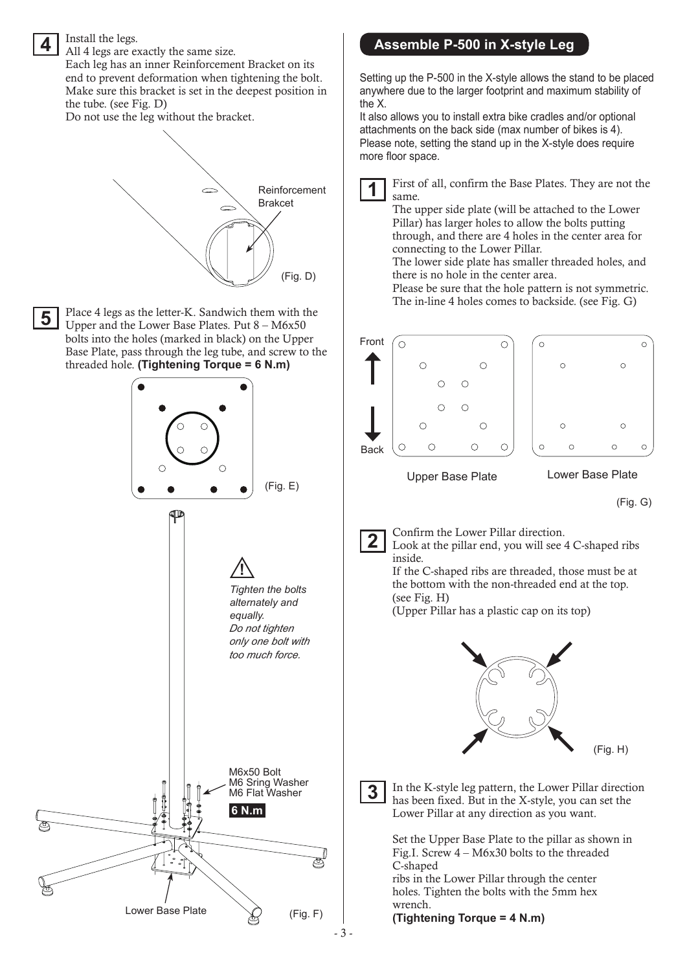

- 3 -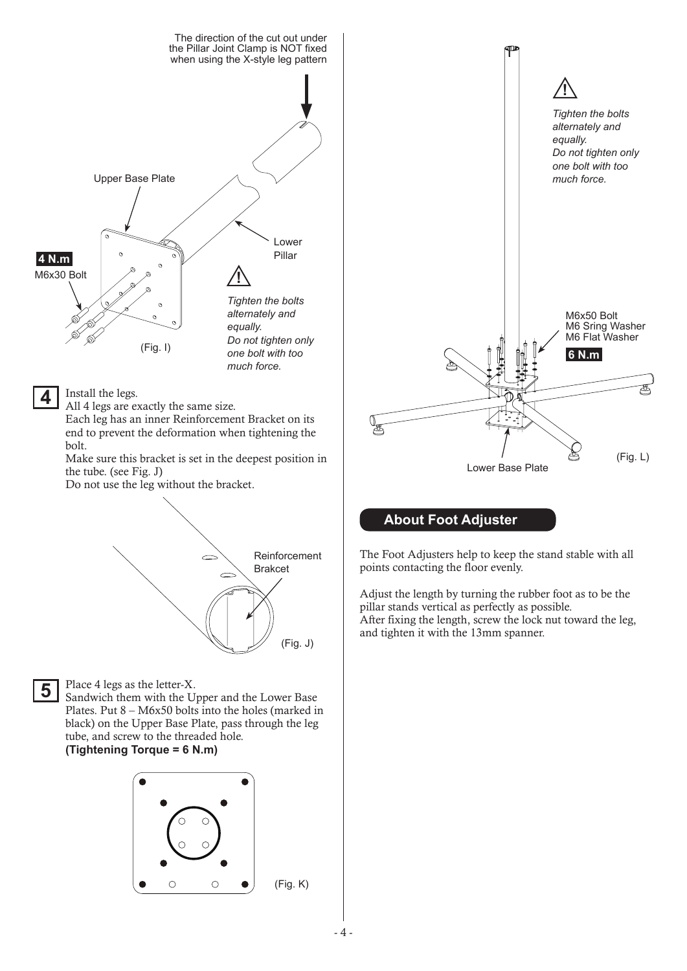

- 4 -

(Fig. K)

 $\circ$ 

 $\circ$ 

 $\bullet$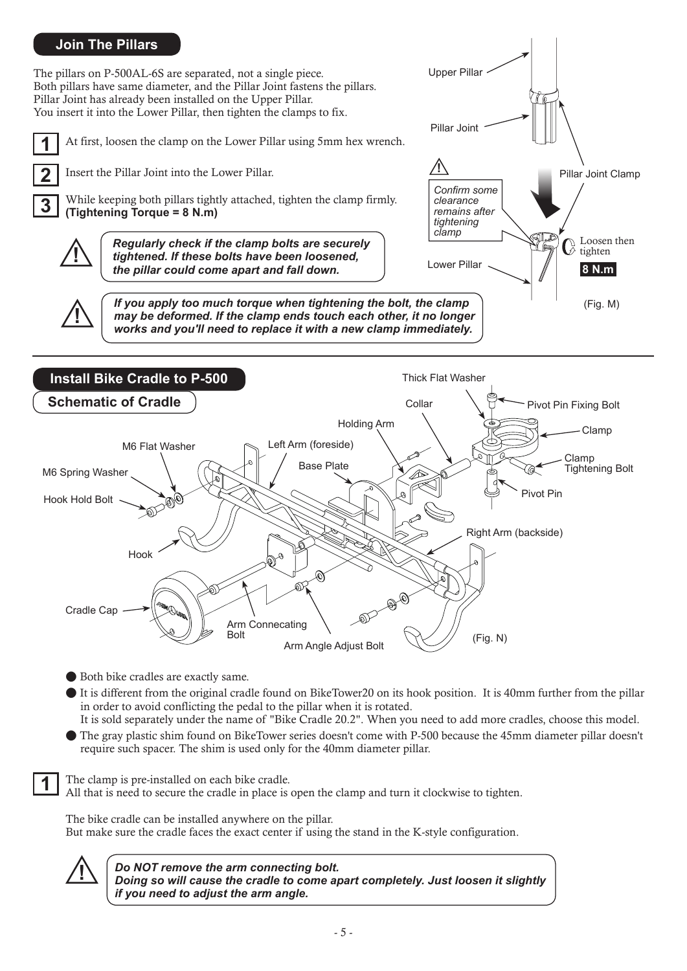### **Join The Pillars**

The pillars on P-500AL-6S are separated, not a single piece. Both pillars have same diameter, and the Pillar Joint fastens the pillars. Pillar Joint has already been installed on the Upper Pillar. You insert it into the Lower Pillar, then tighten the clamps to fix.

**1** At first, loosen the clamp on the Lower Pillar using 5mm hex wrench.

**2** Insert the Pillar Joint into the Lower Pillar.

**3** While keeping both pillars tightly attached, tighten the clamp firmly. **(Tightening Torque = 8 N.m)**

**!** *Regularly check if the clamp bolts are securely tightened. If these bolts have been loosened, the pillar could come apart and fall down.*

**| If you apply too much torque when tightening the bolt, the clamp**<br> **| may be deformed. If the clamp ends touch each other, it no longer**<br> **| may be deformed. If the clamp ends touch each other, it no longer** *works and you'll need to replace it with a new clamp immediately.*



Pillar Joint

**!**

*Confirm some clearance remains after tightening clamp*

Pillar Joint Clamp

(Fig. M)

Loosen then tighten **8 N.m**

Lower Pillar

Upper Pillar

● Both bike cradles are exactly same.

● It is different from the original cradle found on BikeTower20 on its hook position. It is 40mm further from the pillar in order to avoid conflicting the pedal to the pillar when it is rotated.

It is sold separately under the name of "Bike Cradle 20.2". When you need to add more cradles, choose this model. ● The gray plastic shim found on BikeTower series doesn't come with P-500 because the 45mm diameter pillar doesn't

require such spacer. The shim is used only for the 40mm diameter pillar.

The clamp is pre-installed on each bike cradle.

All that is need to secure the cradle in place is open the clamp and turn it clockwise to tighten.

The bike cradle can be installed anywhere on the pillar. But make sure the cradle faces the exact center if using the stand in the K-style configuration.



**1**

**!** *Do NOT remove the arm connecting bolt. Doing so will cause the cradle to come apart completely. Just loosen it slightly if you need to adjust the arm angle.*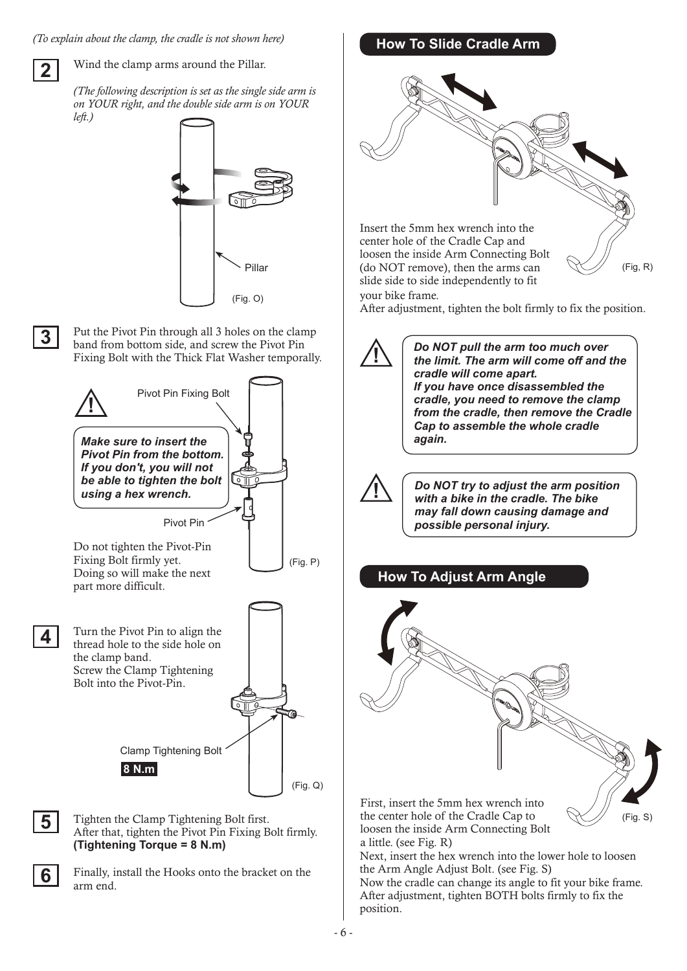*(To explain about the clamp, the cradle is not shown here)*

**2**

Wind the clamp arms around the Pillar.

*(The following description is set as the single side arm is on YOUR right, and the double side arm is on YOUR left.)*



**3**

**4**

**6**

Put the Pivot Pin through all 3 holes on the clamp band from bottom side, and screw the Pivot Pin Fixing Bolt with the Thick Flat Washer temporally.



arm end.

# **How To Slide Cradle Arm**

Insert the 5mm hex wrench into the center hole of the Cradle Cap and loosen the inside Arm Connecting Bolt (do NOT remove), then the arms can slide side to side independently to fit your bike frame.



After adjustment, tighten the bolt firmly to fix the position.

**!** *Do NOT pull the arm too much over the limit. The arm will come off and the cradle will come apart. If you have once disassembled the cradle, you need to remove the clamp from the cradle, then remove the Cradle Cap to assemble the whole cradle again.*

**!** *Do NOT try to adjust the arm position with a bike in the cradle. The bike may fall down causing damage and possible personal injury.* 

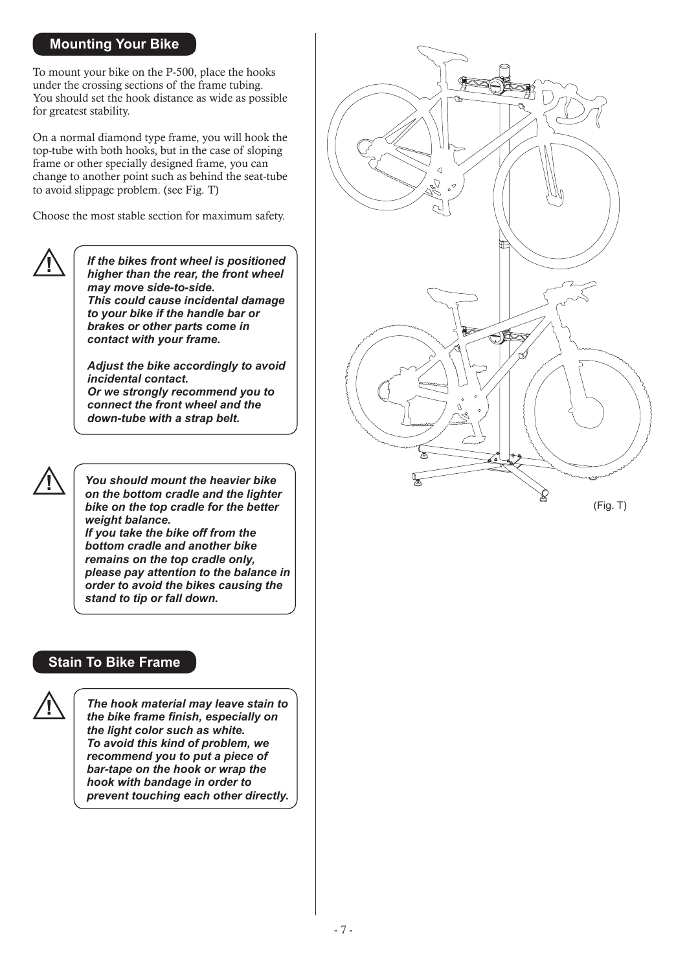#### **Mounting Your Bike**

To mount your bike on the P-500, place the hooks under the crossing sections of the frame tubing. You should set the hook distance as wide as possible for greatest stability.

On a normal diamond type frame, you will hook the top-tube with both hooks, but in the case of sloping frame or other specially designed frame, you can change to another point such as behind the seat-tube to avoid slippage problem. (see Fig. T)

Choose the most stable section for maximum safety.



*If the bikes front wheel is positioned higher than the rear, the front wheel may move side-to-side. This could cause incidental damage to your bike if the handle bar or brakes or other parts come in contact with your frame.*

*Adjust the bike accordingly to avoid incidental contact. Or we strongly recommend you to connect the front wheel and the down-tube with a strap belt.*



**!** *You should mount the heavier bike on the bottom cradle and the lighter bike on the top cradle for the better weight balance. If you take the bike off from the bottom cradle and another bike remains on the top cradle only, please pay attention to the balance in order to avoid the bikes causing the stand to tip or fall down.*

#### **Stain To Bike Frame**



*The hook material may leave stain to the bike frame finish, especially on the light color such as white. To avoid this kind of problem, we recommend you to put a piece of bar-tape on the hook or wrap the hook with bandage in order to prevent touching each other directly.*



(Fig. T)